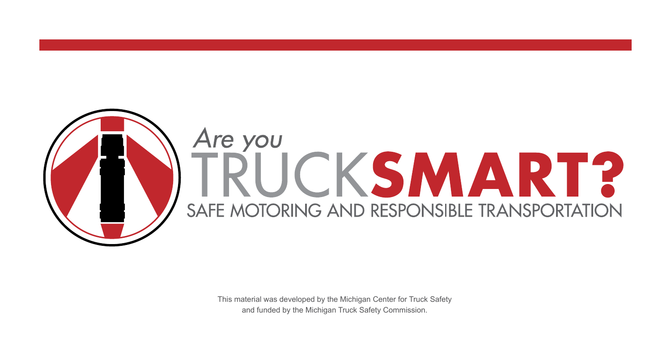

This material was developed by the Michigan Center for Truck Safety and funded by the Michigan Truck Safety Commission.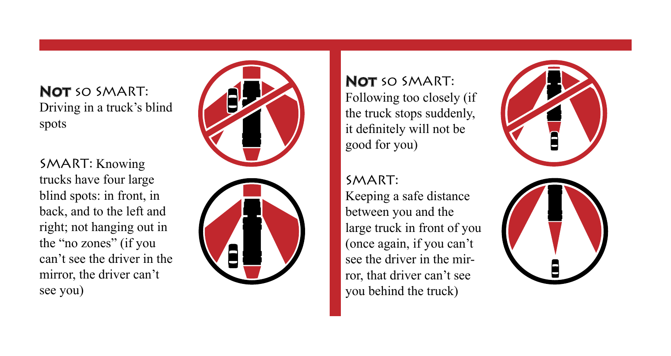NOT SO SMART: Driving in a truck's blind spots

SMART: Knowing trucks have four large blind spots: in front, in back, and to the left and right; not hanging out in the "no zones" (if you can't see the driver in the mirror, the driver can't see you)



NOT SO SMART: Following too closely (if the truck stops suddenly, it definitely will not be good for you)

SMART:

Keeping a safe distance between you and the large truck in front of you (once again, if you can't see the driver in the mir ror, that driver can't see you behind the truck)

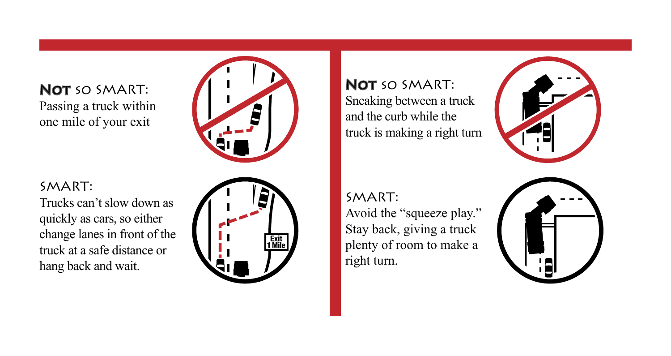NOT SO SMART: Passing a truck within one mile of your exit



## SMART:

Trucks can't slow down as quickly as cars, so either change lanes in front of the truck at a safe distance or hang back and wait.



NOT SO SMART: Sneaking between a truck and the curb while the truck is making a right turn



SMART:

Avoid the "squeeze play." Stay back, giving a truck plenty of room to make a right turn.

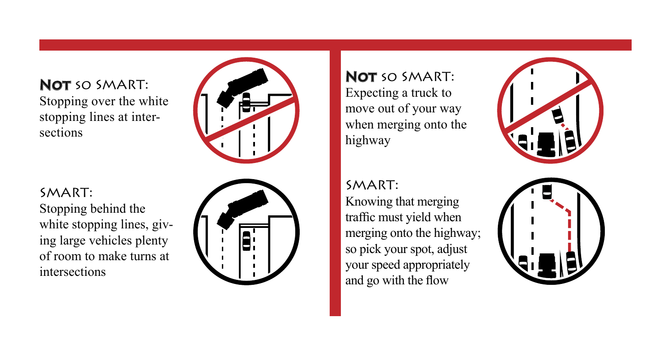NOT SO SMART: Stopping over the white stopping lines at inter sections



SMART:

Stopping behind the white stopping lines, giving large vehicles plenty of room to make turns at intersections



NOT SO SMART: Expecting a truck to move out of your way when merging onto the highway

SMART: Knowing that merging traffic must yield when merging onto the highway; so pick your spot, adjust your speed appropriately and go with the flow



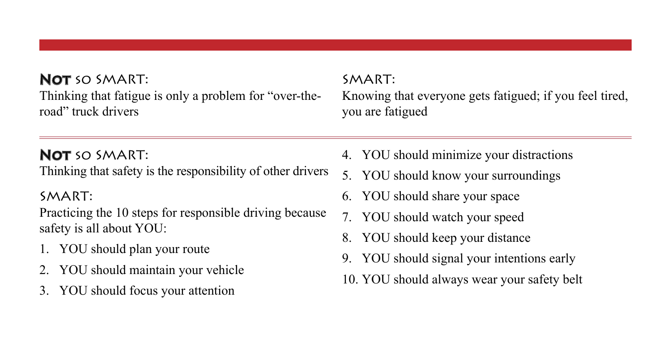NOT SO SMART: Thinking that fatigue is only a problem for "over-theroad" truck drivers

## NOT SO SMART:

Thinking that safety is the responsibility of other drivers

## SMART:

Practicing the 10 steps for responsible driving because safety is all about YOU:

- 1. YOU should plan your route
- 2. YOU should maintain your vehicle
- 3. YOU should focus your attention

## SMART:

Knowing that everyone gets fatigued; if you feel tired, you are fatigued

- 4. YOU should minimize your distractions
- 5. YOU should know your surroundings
- 6. YOU should share your space
- 7. YOU should watch your speed
- 8. YOU should keep your distance
- 9. YOU should signal your intentions early
- 10. YOU should always wear your safety belt